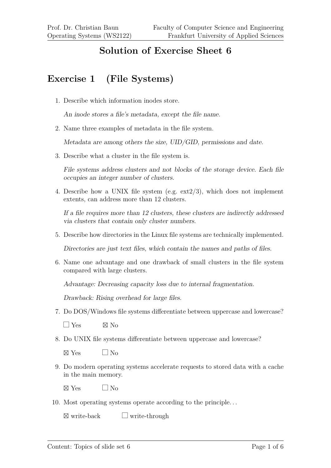## **Solution of Exercise Sheet 6**

## **Exercise 1 (File Systems)**

1. Describe which information inodes store.

An inode stores a file's metadata, except the file name.

2. Name three examples of metadata in the file system.

Metadata are among others the size, UID/GID, permissions and date.

3. Describe what a cluster in the file system is.

File systems address clusters and not blocks of the storage device. Each file occupies an integer number of clusters.

4. Describe how a UNIX file system (e.g. ext2/3), which does not implement extents, can address more than 12 clusters.

If a file requires more than 12 clusters, these clusters are indirectly addressed via clusters that contain only cluster numbers.

5. Describe how directories in the Linux file systems are technically implemented.

Directories are just text files, which contain the names and paths of files.

6. Name one advantage and one drawback of small clusters in the file system compared with large clusters.

Advantage: Decreasing capacity loss due to internal fragmentation.

Drawback: Rising overhead for large files.

7. Do DOS/Windows file systems differentiate between uppercase and lowercase?

 $\Box$  Yes  $\boxtimes$  No

8. Do UNIX file systems differentiate between uppercase and lowercase?

 $\boxtimes$  Yes  $\Box$  No

9. Do modern operating systems accelerate requests to stored data with a cache in the main memory.

 $\boxtimes$  Yes  $\Box$  No

10. Most operating systems operate according to the principle. . .

 $\boxtimes$  write-back  $\Box$  write-through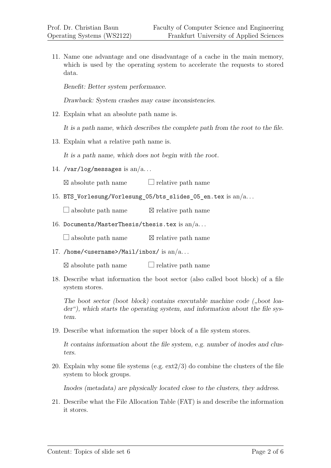11. Name one advantage and one disadvantage of a cache in the main memory, which is used by the operating system to accelerate the requests to stored data.

Benefit: Better system performance.

Drawback: System crashes may cause inconsistencies.

12. Explain what an absolute path name is.

It is a path name, which describes the complete path from the root to the file.

13. Explain what a relative path name is.

It is a path name, which does not begin with the root.

14. /var/log/messages is  $an/a$ ...

 $\boxtimes$  absolute path name  $\Box$  relative path name

15. BTS\_Vorlesung/Vorlesung\_05/bts\_slides\_05\_en.tex is an/a. . .

 $\Box$  absolute path name  $\boxtimes$  relative path name

16. Documents/MasterThesis/thesis.tex is an/a...

 $\Box$  absolute path name  $\boxtimes$  relative path name

17. /home/<username>/Mail/inbox/ is  $an/a$ ...

 $\boxtimes$  absolute path name  $\Box$  relative path name

18. Describe what information the boot sector (also called boot block) of a file system stores.

The boot sector (boot block) contains executable machine code  $($ "boot loader"), which starts the operating system, and information about the file system.

19. Describe what information the super block of a file system stores.

It contains information about the file system, e.g. number of inodes and clusters.

20. Explain why some file systems (e.g.  $ext{ext2/3}$ ) do combine the clusters of the file system to block groups.

Inodes (metadata) are physically located close to the clusters, they address.

21. Describe what the File Allocation Table (FAT) is and describe the information it stores.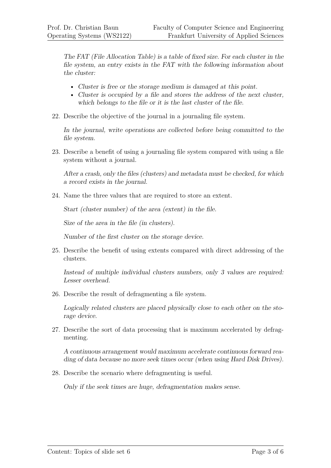The FAT (File Allocation Table) is a table of fixed size. For each cluster in the file system, an entry exists in the FAT with the following information about the cluster:

- Cluster is free or the storage medium is damaged at this point.
- Cluster is occupied by a file and stores the address of the next cluster, which belongs to the file or it is the last cluster of the file.
- 22. Describe the objective of the journal in a journaling file system.

In the journal, write operations are collected before being committed to the file system.

23. Describe a benefit of using a journaling file system compared with using a file system without a journal.

After a crash, only the files (clusters) and metadata must be checked, for which a record exists in the journal.

24. Name the three values that are required to store an extent.

Start (cluster number) of the area (extent) in the file.

Size of the area in the file (in clusters).

Number of the first cluster on the storage device.

25. Describe the benefit of using extents compared with direct addressing of the clusters.

Instead of multiple individual clusters numbers, only 3 values are required: Lesser overhead.

26. Describe the result of defragmenting a file system.

Logically related clusters are placed physically close to each other on the storage device.

27. Describe the sort of data processing that is maximum accelerated by defragmenting.

A continuous arrangement would maximum accelerate continuous forward reading of data because no more seek times occur (when using Hard Disk Drives).

28. Describe the scenario where defragmenting is useful.

Only if the seek times are huge, defragmentation makes sense.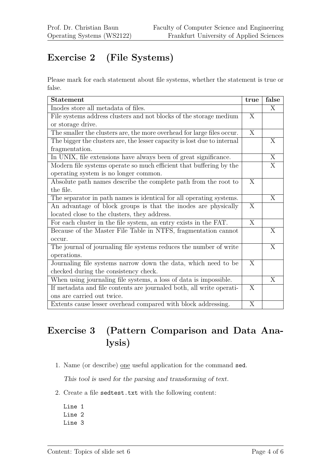## **Exercise 2 (File Systems)**

Please mark for each statement about file systems, whether the statement is true or false.

| <b>Statement</b>                                                         | true                    | false          |
|--------------------------------------------------------------------------|-------------------------|----------------|
| Inodes store all metadata of files.                                      |                         | X              |
| File systems address clusters and not blocks of the storage medium       | X                       |                |
| or storage drive.                                                        |                         |                |
| The smaller the clusters are, the more overhead for large files occur.   | X                       |                |
| The bigger the clusters are, the lesser capacity is lost due to internal |                         | X              |
| fragmentation.                                                           |                         |                |
| In UNIX, file extensions have always been of great significance.         |                         | $\overline{X}$ |
| Modern file systems operate so much efficient that buffering by the      |                         | $\overline{X}$ |
| operating system is no longer common.                                    |                         |                |
| Absolute path names describe the complete path from the root to          | $\overline{X}$          |                |
| the file.                                                                |                         |                |
| The separator in path names is identical for all operating systems.      |                         | $\mathbf{X}$   |
| An advantage of block groups is that the inodes are physically           | X                       |                |
| located close to the clusters, they address.                             |                         |                |
| For each cluster in the file system, an entry exists in the FAT.         | $\overline{\mathrm{X}}$ |                |
| Because of the Master File Table in NTFS, fragmentation cannot           |                         | X              |
| occur.                                                                   |                         |                |
| The journal of journaling file systems reduces the number of write       |                         | X              |
| operations.                                                              |                         |                |
| Journaling file systems narrow down the data, which need to be           | X                       |                |
| checked during the consistency check.                                    |                         |                |
| When using journaling file systems, a loss of data is impossible.        |                         | $\overline{X}$ |
| If metadata and file contents are journaled both, all write operati-     | X                       |                |
| ons are carried out twice.                                               |                         |                |
| Extents cause lesser overhead compared with block addressing.            | X                       |                |

## **Exercise 3 (Pattern Comparison and Data Analysis)**

1. Name (or describe) one useful application for the command sed.

This tool is used for the parsing and transforming of text.

- 2. Create a file sedtest.txt with the following content:
	- Line 1 Line 2 Line 3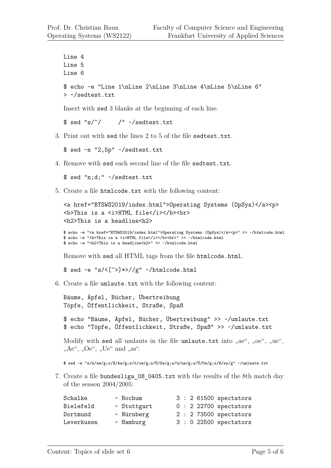```
Line 4
Line 5
Line 6
$ echo -e "Line 1\nLine 2\nLine 3\nLine 4\nLine 5\nLine 6"
> ~/sedtest.txt
```
Insert with sed 3 blanks at the beginning of each line.

 $$ sed "s/^/$  /" ~/sedtest.txt

3. Print out with sed the lines 2 to 5 of the file sedtest.txt.

\$ sed -n "2,5p" ~/sedtest.txt

4. Remove with sed each second line of the file sedtest.txt.

\$ sed "n;d;" ~/sedtest.txt

5. Create a file htmlcode.txt with the following content:

```
<a href="BTSWS2019/index.html">Operating Systems (OpSys)</a><p>
<b>This is a <i>HTML file</i></b><br>
<h2>This is a headline<h2>
```

```
$ echo -e "<a href="BTSWS2019/index.html">Operating Systems (OpSys)</a><p>" >> ~/htmlcode.html
$ echo -e "<b>This is a <i>HTML file</i></b><br>" >> ~/htmlcode.html
$ echo -e "<h2>This is a headline<h2>" >> ~/htmlcode.html
```
Remove with sed all HTML tags from the file htmlcode.html.

 $$ sed -e$  "s/<[^>]\*>//g" ~/htmlcode.html

6. Create a file umlaute.txt with the following content:

```
Bäume, Äpfel, Bücher, Übertreibung
Töpfe, Öffentlichkeit, Straße, Spaß
$ echo "Bäume, Äpfel, Bücher, Übertreibung" >> ~/umlaute.txt
$ echo "Töpfe, Öffentlichkeit, Straße, Spaß" >> ~/umlaute.txt
```
Modify with sed all umlauts in the file umlaute.txt into  $\alpha$ ae",  $\alpha$ oe",  $\alpha$ ue",  $n$ Ae",  $n$ Oe",  $n$ Ue" and  $n$ ss".

\$ sed -e "s/ä/ae/g;s/Ä/Ae/g;s/ö/oe/g;s/Ö/Oe/g;s/ü/ue/g;s/Ü/Ue/g;s/ß/ss/g" ~/umlaute.txt

7. Create a file bundesliga\_08\_0405.txt with the results of the 8th match day of the season 2004/2005:

| Schalke    | - Bochum    |  | $3:261500$ spectators  |
|------------|-------------|--|------------------------|
| Bielefeld  | - Stuttgart |  | $0: 22700$ spectators  |
| Dortmund   | - Nürnberg  |  | $2: 273500$ spectators |
| Leverkusen | - Hamburg   |  | $3:0$ 22500 spectators |